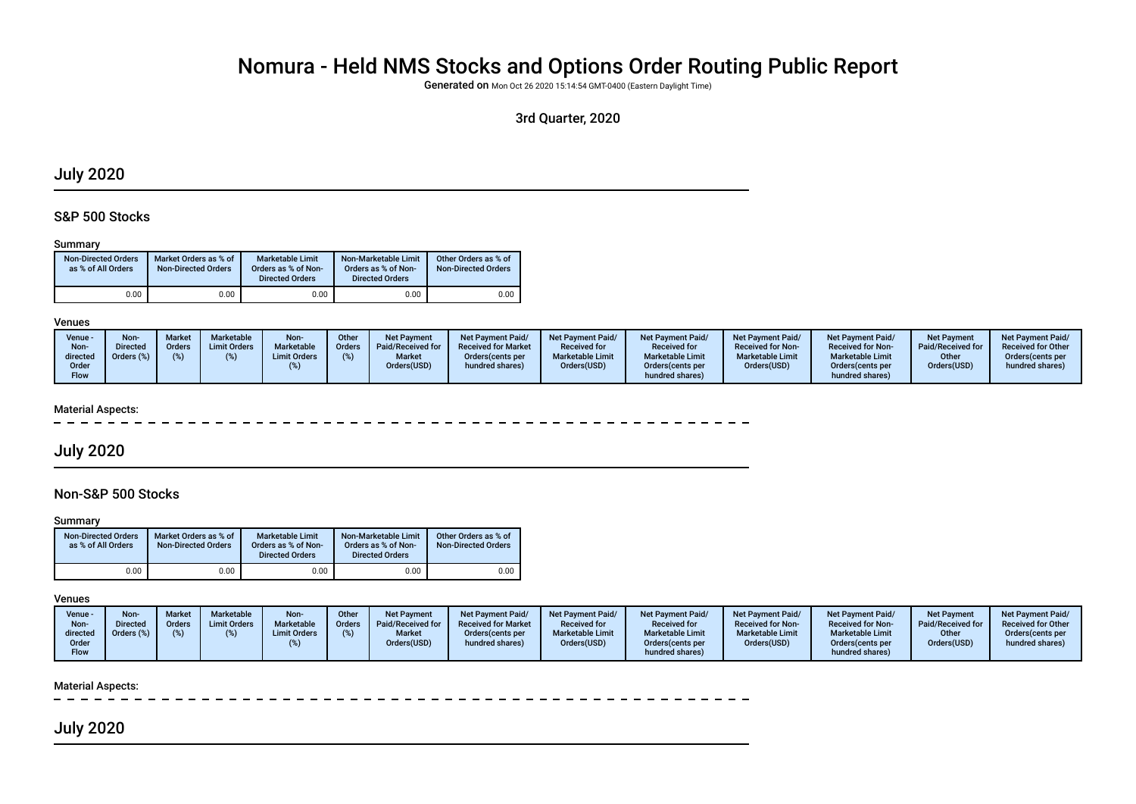# Nomura - Held NMS Stocks and Options Order Routing Public Report

Generated on Mon Oct 26 2020 15:14:54 GMT-0400 (Eastern Daylight Time)

# 3rd Quarter, 2020

# July 2020

# S&P 500 Stocks

#### Summary

| <b>Non-Directed Orders</b><br>as % of All Orders | Market Orders as % of<br><b>Non-Directed Orders</b> | Marketable Limit<br>Orders as % of Non-<br><b>Directed Orders</b> | Non-Marketable Limit<br>Orders as % of Non-<br><b>Directed Orders</b> | Other Orders as % of<br><b>Non-Directed Orders</b> |
|--------------------------------------------------|-----------------------------------------------------|-------------------------------------------------------------------|-----------------------------------------------------------------------|----------------------------------------------------|
| 0.00                                             | 0.00                                                | 0.00                                                              | 0.00                                                                  | 0.00                                               |

#### Venues

| Venue -<br>Non-<br>directed<br>Order<br>Flow | Non-<br><b>Directed</b><br>Orders (%) | <b>Market</b><br><b>Orders</b> | Marketable<br><b>Limit Orders</b> | Non-<br>Marketable<br><b>Limit Orders</b> | Other<br>Orders | Net Payment<br>Paid/Received for<br><b>Market</b><br>Orders(USD) | <b>Net Payment Paid/</b><br><b>Received for Market</b><br>Orders (cents per<br>hundred shares) | <b>Net Payment Paid/</b><br><b>Received for</b><br><b>Marketable Limit</b><br>Orders(USD) | <b>Net Payment Paid/</b><br><b>Received for</b><br><b>Marketable Limit</b><br>Orders (cents per<br>hundred shares) | <b>Net Payment Paid/</b><br><b>Received for Non-</b><br><b>Marketable Limit</b><br>Orders(USD) | <b>Net Payment Paid/</b><br><b>Received for Non-</b><br><b>Marketable Limit</b><br>Orders (cents per<br>hundred shares) | <b>Net Payment</b><br>Paid/Received for<br>Other<br>Orders(USD) | <b>Net Payment Paid/</b><br><b>Received for Other</b><br>Orders cents per<br>hundred shares) |
|----------------------------------------------|---------------------------------------|--------------------------------|-----------------------------------|-------------------------------------------|-----------------|------------------------------------------------------------------|------------------------------------------------------------------------------------------------|-------------------------------------------------------------------------------------------|--------------------------------------------------------------------------------------------------------------------|------------------------------------------------------------------------------------------------|-------------------------------------------------------------------------------------------------------------------------|-----------------------------------------------------------------|----------------------------------------------------------------------------------------------|
|----------------------------------------------|---------------------------------------|--------------------------------|-----------------------------------|-------------------------------------------|-----------------|------------------------------------------------------------------|------------------------------------------------------------------------------------------------|-------------------------------------------------------------------------------------------|--------------------------------------------------------------------------------------------------------------------|------------------------------------------------------------------------------------------------|-------------------------------------------------------------------------------------------------------------------------|-----------------------------------------------------------------|----------------------------------------------------------------------------------------------|

#### Material Aspects:

# July 2020

# Non-S&P 500 Stocks

#### **Summary**

| <b>Non-Directed Orders</b><br>as % of All Orders | Market Orders as % of<br><b>Non-Directed Orders</b> | Marketable Limit<br>Orders as % of Non-<br><b>Directed Orders</b> | Non-Marketable Limit<br>Orders as % of Non-<br><b>Directed Orders</b> | Other Orders as % of<br><b>Non-Directed Orders</b> |
|--------------------------------------------------|-----------------------------------------------------|-------------------------------------------------------------------|-----------------------------------------------------------------------|----------------------------------------------------|
| 0.00                                             | 0.00                                                | 0.00                                                              | 0.00                                                                  | 0.00                                               |

#### Venues

| Venue -<br>Non-<br>directed | <b>Non-</b><br>Directed | <b>Market</b><br>Orders<br>$\%$ | Marketable<br><b>Limit Orders</b> | Non-<br><b>Marketable</b><br><b>Limit Orders</b> | Other<br><b>Orders</b> | <b>Net Payment</b><br>Paid/Received for<br><b>Market</b> | <b>Net Payment Paid/</b><br><b>Received for Market</b><br>Orders (cents per | Net Payment Paid/<br><b>Received for</b><br><b>Marketable Limit</b> | Net Payment Paid/<br><b>Received for</b><br><b>Marketable Limit</b> | <b>Net Payment Paid/</b><br><b>Received for Non-</b><br><b>Marketable Limit</b> | <b>Net Payment Paid/</b><br><b>Received for Non-</b><br><b>Marketable Limit</b> | <b>Net Payment</b><br>Paid/Received for<br>Other | <b>Net Payment Paid/</b><br><b>Received for Other</b><br>Orders(cents per |
|-----------------------------|-------------------------|---------------------------------|-----------------------------------|--------------------------------------------------|------------------------|----------------------------------------------------------|-----------------------------------------------------------------------------|---------------------------------------------------------------------|---------------------------------------------------------------------|---------------------------------------------------------------------------------|---------------------------------------------------------------------------------|--------------------------------------------------|---------------------------------------------------------------------------|
| Order<br>Flow               |                         |                                 |                                   |                                                  |                        | Orders(USD)                                              | hundred shares)                                                             | Orders(USD)                                                         | Orders (cents per<br>hundred shares)                                | Orders(USD)                                                                     | Orders (cents per<br>hundred shares)                                            | Orders(USD)                                      | hundred shares)                                                           |

#### Material Aspects:

# July 2020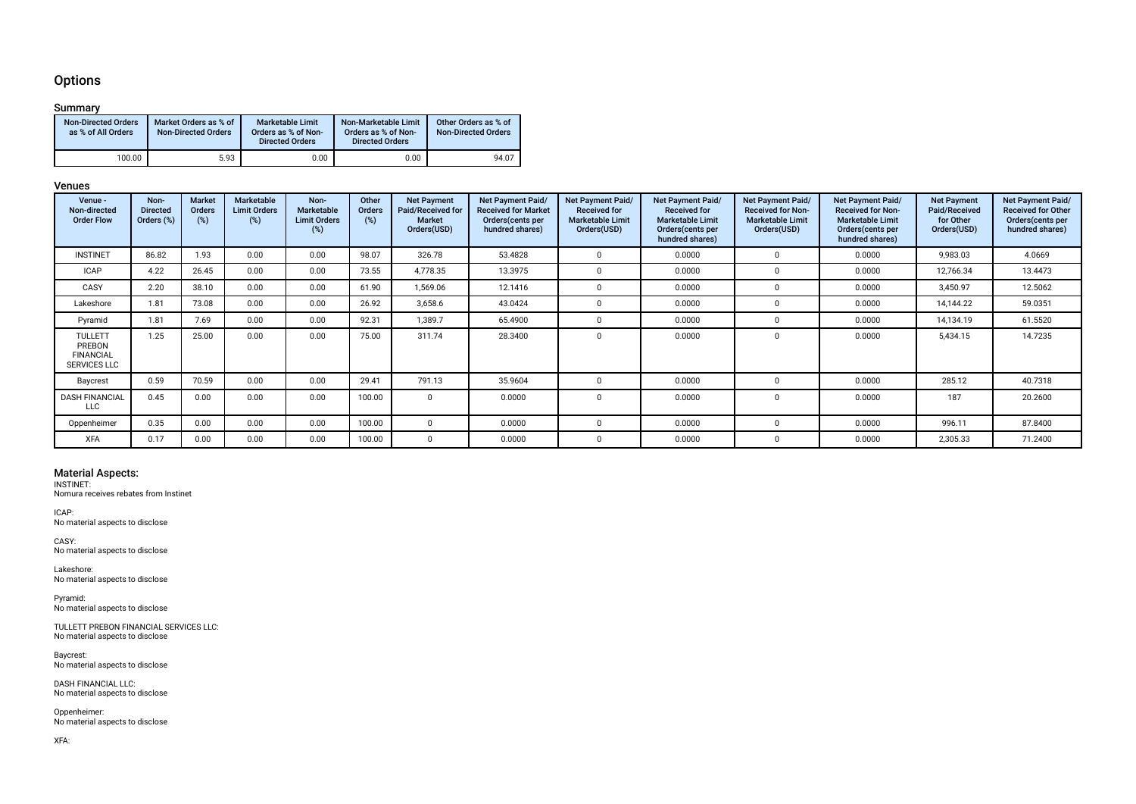# **Options**

## Summary

| <b>Non-Directed Orders</b><br>as % of All Orders | Market Orders as % of<br><b>Non-Directed Orders</b> | Marketable Limit<br>Orders as % of Non-<br><b>Directed Orders</b> | Non-Marketable Limit<br>Orders as % of Non-<br><b>Directed Orders</b> | Other Orders as % of<br><b>Non-Directed Orders</b> |
|--------------------------------------------------|-----------------------------------------------------|-------------------------------------------------------------------|-----------------------------------------------------------------------|----------------------------------------------------|
| 100.00                                           | 5.93                                                | 0.00                                                              | 0.00                                                                  | 94.07                                              |

### Venues

| Venue -<br>Non-directed<br><b>Order Flow</b>                        | Non-<br><b>Directed</b><br>Orders (%) | <b>Market</b><br><b>Orders</b><br>(%) | Marketable<br><b>Limit Orders</b><br>$(\%)$ | Non-<br><b>Marketable</b><br><b>Limit Orders</b><br>(%) | Other<br><b>Orders</b><br>(%) | <b>Net Payment</b><br>Paid/Received for<br><b>Market</b><br>Orders(USD) | Net Payment Paid/<br><b>Received for Market</b><br>Orders (cents per<br>hundred shares) | Net Payment Paid/<br><b>Received for</b><br><b>Marketable Limit</b><br>Orders(USD) | Net Payment Paid/<br><b>Received for</b><br><b>Marketable Limit</b><br>Orders (cents per<br>hundred shares) | Net Payment Paid/<br><b>Received for Non-</b><br><b>Marketable Limit</b><br>Orders(USD) | Net Payment Paid/<br><b>Received for Non-</b><br><b>Marketable Limit</b><br>Orders(cents per<br>hundred shares) | <b>Net Payment</b><br>Paid/Received<br>for Other<br>Orders(USD) | Net Payment Paid/<br><b>Received for Other</b><br>Orders (cents per<br>hundred shares) |
|---------------------------------------------------------------------|---------------------------------------|---------------------------------------|---------------------------------------------|---------------------------------------------------------|-------------------------------|-------------------------------------------------------------------------|-----------------------------------------------------------------------------------------|------------------------------------------------------------------------------------|-------------------------------------------------------------------------------------------------------------|-----------------------------------------------------------------------------------------|-----------------------------------------------------------------------------------------------------------------|-----------------------------------------------------------------|----------------------------------------------------------------------------------------|
| <b>INSTINET</b>                                                     | 86.82                                 | 1.93                                  | 0.00                                        | 0.00                                                    | 98.07                         | 326.78                                                                  | 53.4828                                                                                 |                                                                                    | 0.0000                                                                                                      | $\Omega$                                                                                | 0.0000                                                                                                          | 9,983.03                                                        | 4.0669                                                                                 |
| <b>ICAP</b>                                                         | 4.22                                  | 26.45                                 | 0.00                                        | 0.00                                                    | 73.55                         | 4,778.35                                                                | 13.3975                                                                                 |                                                                                    | 0.0000                                                                                                      |                                                                                         | 0.0000                                                                                                          | 12,766.34                                                       | 13.4473                                                                                |
| CASY                                                                | 2.20                                  | 38.10                                 | 0.00                                        | 0.00                                                    | 61.90                         | 1,569.06                                                                | 12.1416                                                                                 |                                                                                    | 0.0000                                                                                                      |                                                                                         | 0.0000                                                                                                          | 3,450.97                                                        | 12.5062                                                                                |
| Lakeshore                                                           | 1.81                                  | 73.08                                 | 0.00                                        | 0.00                                                    | 26.92                         | 3,658.6                                                                 | 43.0424                                                                                 |                                                                                    | 0.0000                                                                                                      |                                                                                         | 0.0000                                                                                                          | 14,144.22                                                       | 59.0351                                                                                |
| Pyramid                                                             | 1.81                                  | 7.69                                  | 0.00                                        | 0.00                                                    | 92.31                         | 1,389.7                                                                 | 65.4900                                                                                 |                                                                                    | 0.0000                                                                                                      |                                                                                         | 0.0000                                                                                                          | 14,134.19                                                       | 61.5520                                                                                |
| <b>TULLETT</b><br>PREBON<br><b>FINANCIAL</b><br><b>SERVICES LLC</b> | 1.25                                  | 25.00                                 | 0.00                                        | 0.00                                                    | 75.00                         | 311.74                                                                  | 28.3400                                                                                 |                                                                                    | 0.0000                                                                                                      | 0                                                                                       | 0.0000                                                                                                          | 5,434.15                                                        | 14.7235                                                                                |
| Baycrest                                                            | 0.59                                  | 70.59                                 | 0.00                                        | 0.00                                                    | 29.41                         | 791.13                                                                  | 35.9604                                                                                 |                                                                                    | 0.0000                                                                                                      |                                                                                         | 0.0000                                                                                                          | 285.12                                                          | 40.7318                                                                                |
| <b>DASH FINANCIAL</b><br><b>LLC</b>                                 | 0.45                                  | 0.00                                  | 0.00                                        | 0.00                                                    | 100.00                        | $\Omega$                                                                | 0.0000                                                                                  |                                                                                    | 0.0000                                                                                                      |                                                                                         | 0.0000                                                                                                          | 187                                                             | 20.2600                                                                                |
| Oppenheimer                                                         | 0.35                                  | 0.00                                  | 0.00                                        | 0.00                                                    | 100.00                        | $\Omega$                                                                | 0.0000                                                                                  |                                                                                    | 0.0000                                                                                                      |                                                                                         | 0.0000                                                                                                          | 996.11                                                          | 87.8400                                                                                |
| <b>XFA</b>                                                          | 0.17                                  | 0.00                                  | 0.00                                        | 0.00                                                    | 100.00                        | $\Omega$                                                                | 0.0000                                                                                  |                                                                                    | 0.0000                                                                                                      |                                                                                         | 0.0000                                                                                                          | 2,305.33                                                        | 71.2400                                                                                |

Material Aspects: INSTINET: Nomura receives rebates from Instinet

ICAP: No material aspects to disclose

CASY: No material aspects to disclose

Lakeshore: No material aspects to disclose

Pyramid: No material aspects to disclose

TULLETT PREBON FINANCIAL SERVICES LLC: No material aspects to disclose

Baycrest: No material aspects to disclose

DASH FINANCIAL LLC: No material aspects to disclose

Oppenheimer: No material aspects to disclose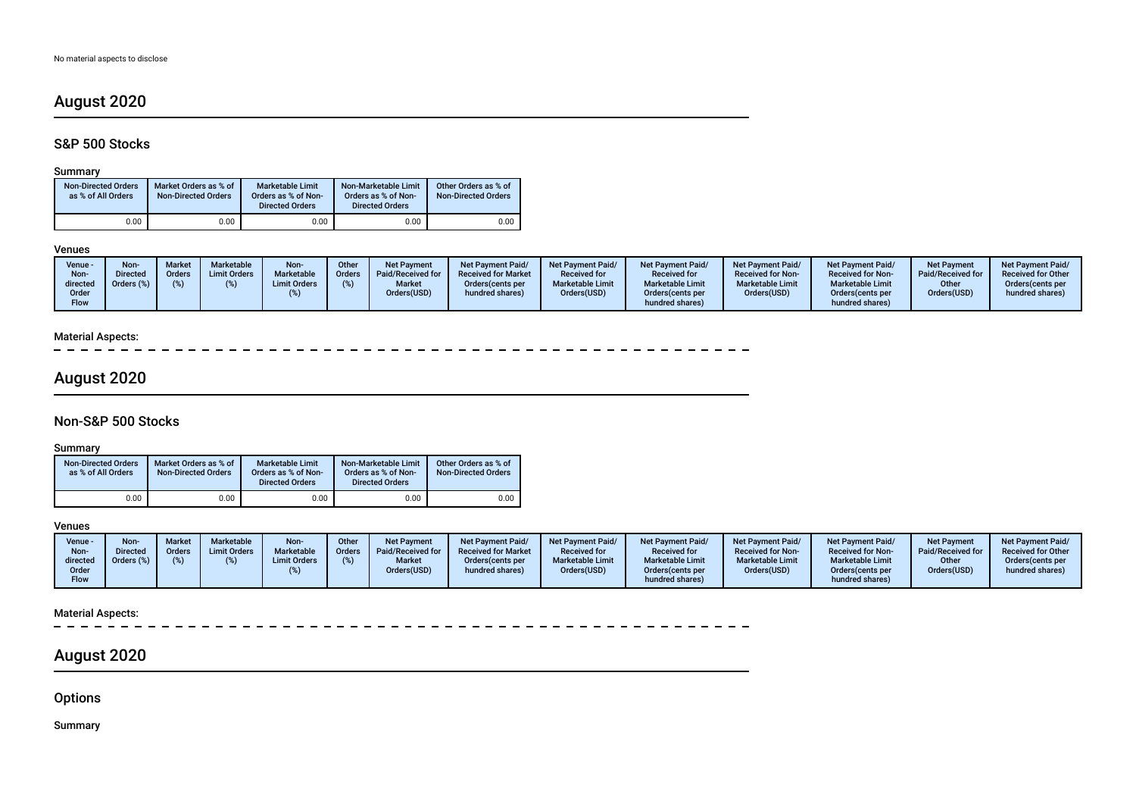# August 2020

# S&P 500 Stocks

## Summary

| <b>Non-Directed Orders</b><br>as % of All Orders | Market Orders as % of<br><b>Non-Directed Orders</b> | <b>Marketable Limit</b><br>Orders as % of Non-<br><b>Directed Orders</b> | Non-Marketable Limit<br>Orders as % of Non-<br><b>Directed Orders</b> | Other Orders as % of<br><b>Non-Directed Orders</b> |
|--------------------------------------------------|-----------------------------------------------------|--------------------------------------------------------------------------|-----------------------------------------------------------------------|----------------------------------------------------|
| 0.00                                             | 0.00                                                | 0.00                                                                     | 0.00                                                                  | 0.00                                               |

#### Venues

 $\overline{a}$ 

| Venue -<br>Non-<br>directed<br>Order<br>Flow | <b>Non-</b><br><b>Market</b><br><b>Directed</b><br>Orders<br>Orders (%) | Marketable<br><b>Limit Orders</b> | Non-<br><b>Marketable</b><br><b>Limit Orders</b> | Other<br><b>Orders</b> | <b>Net Payment</b><br>Paid/Received for<br><b>Market</b><br>Orders(USD) | Net Payment Paid/<br><b>Received for Market</b><br>Orders (cents per<br>hundred shares) | Net Payment Paid/<br><b>Received for</b><br><b>Marketable Limit</b><br>Orders(USD) | <b>Net Payment Paid/</b><br><b>Received for</b><br><b>Marketable Limit</b><br>Orders (cents per<br>hundred shares) | Net Payment Paid/<br><b>Received for Non-</b><br><b>Marketable Limit</b><br>Orders(USD) | <b>Net Payment Paid/</b><br><b>Received for Non-</b><br><b>Marketable Limit</b><br>Orders(cents per<br>hundred shares) | <b>Net Payment</b><br>Paid/Received for<br>Other<br>Orders(USD) | <b>Net Payment Paid/</b><br><b>Received for Other</b><br>Orders(cents per<br>hundred shares) |
|----------------------------------------------|-------------------------------------------------------------------------|-----------------------------------|--------------------------------------------------|------------------------|-------------------------------------------------------------------------|-----------------------------------------------------------------------------------------|------------------------------------------------------------------------------------|--------------------------------------------------------------------------------------------------------------------|-----------------------------------------------------------------------------------------|------------------------------------------------------------------------------------------------------------------------|-----------------------------------------------------------------|----------------------------------------------------------------------------------------------|
|----------------------------------------------|-------------------------------------------------------------------------|-----------------------------------|--------------------------------------------------|------------------------|-------------------------------------------------------------------------|-----------------------------------------------------------------------------------------|------------------------------------------------------------------------------------|--------------------------------------------------------------------------------------------------------------------|-----------------------------------------------------------------------------------------|------------------------------------------------------------------------------------------------------------------------|-----------------------------------------------------------------|----------------------------------------------------------------------------------------------|

# Material Aspects:

# August 2020

# Non-S&P 500 Stocks

## Summary

| <b>Non-Directed Orders</b><br>as % of All Orders | Market Orders as % of<br><b>Non-Directed Orders</b> | <b>Marketable Limit</b><br>Orders as % of Non-<br><b>Directed Orders</b> | Non-Marketable Limit<br>Orders as % of Non-<br><b>Directed Orders</b> | Other Orders as % of<br><b>Non-Directed Orders</b> |
|--------------------------------------------------|-----------------------------------------------------|--------------------------------------------------------------------------|-----------------------------------------------------------------------|----------------------------------------------------|
| 0.00                                             | 0.00                                                | 0.00                                                                     | 0.00                                                                  | 0.00                                               |

## Venues

| Venue -<br>Non-<br>directed<br>Order<br>Flow | Non<br><b>Directed</b><br>Jrders (%) | Marke<br>Orders | <b>Marketable</b><br><b>Limit Orders</b> | Non-<br><b>Marketable</b><br><b>Limit Orders</b> | <b>Other</b><br><b>Orders</b> | Net Payment<br>Paid/Received for<br><b>Market</b><br>Orders(USD) | <b>Net Payment Paid/</b><br><b>Received for Market</b><br>Orders (cents per<br>hundred shares) | <b>Net Payment Paid/</b><br><b>Received for</b><br><b>Marketable Limit</b><br>Orders(USD) | <b>Net Payment Paid/</b><br><b>Received for</b><br><b>Marketable Limit</b><br>Orders(cents per<br>hundred shares) | Net Payment Paid/<br><b>Received for Non-</b><br><b>Marketable Limit</b><br>Orders(USD) | <b>Net Payment Paid/</b><br><b>Received for Non-</b><br><b>Marketable Limit</b><br>Orders(cents per<br>hundred shares) | <b>Net Payment</b><br>Paid/Received for<br>Other<br>Orders(USD) | <b>Net Payment Paid/</b><br><b>Received for Other</b><br>Orders(cents per<br>hundred shares) |
|----------------------------------------------|--------------------------------------|-----------------|------------------------------------------|--------------------------------------------------|-------------------------------|------------------------------------------------------------------|------------------------------------------------------------------------------------------------|-------------------------------------------------------------------------------------------|-------------------------------------------------------------------------------------------------------------------|-----------------------------------------------------------------------------------------|------------------------------------------------------------------------------------------------------------------------|-----------------------------------------------------------------|----------------------------------------------------------------------------------------------|
|----------------------------------------------|--------------------------------------|-----------------|------------------------------------------|--------------------------------------------------|-------------------------------|------------------------------------------------------------------|------------------------------------------------------------------------------------------------|-------------------------------------------------------------------------------------------|-------------------------------------------------------------------------------------------------------------------|-----------------------------------------------------------------------------------------|------------------------------------------------------------------------------------------------------------------------|-----------------------------------------------------------------|----------------------------------------------------------------------------------------------|

## Material Aspects:

 $\overline{\phantom{a}}$ 

# August 2020

**Options** 

Summary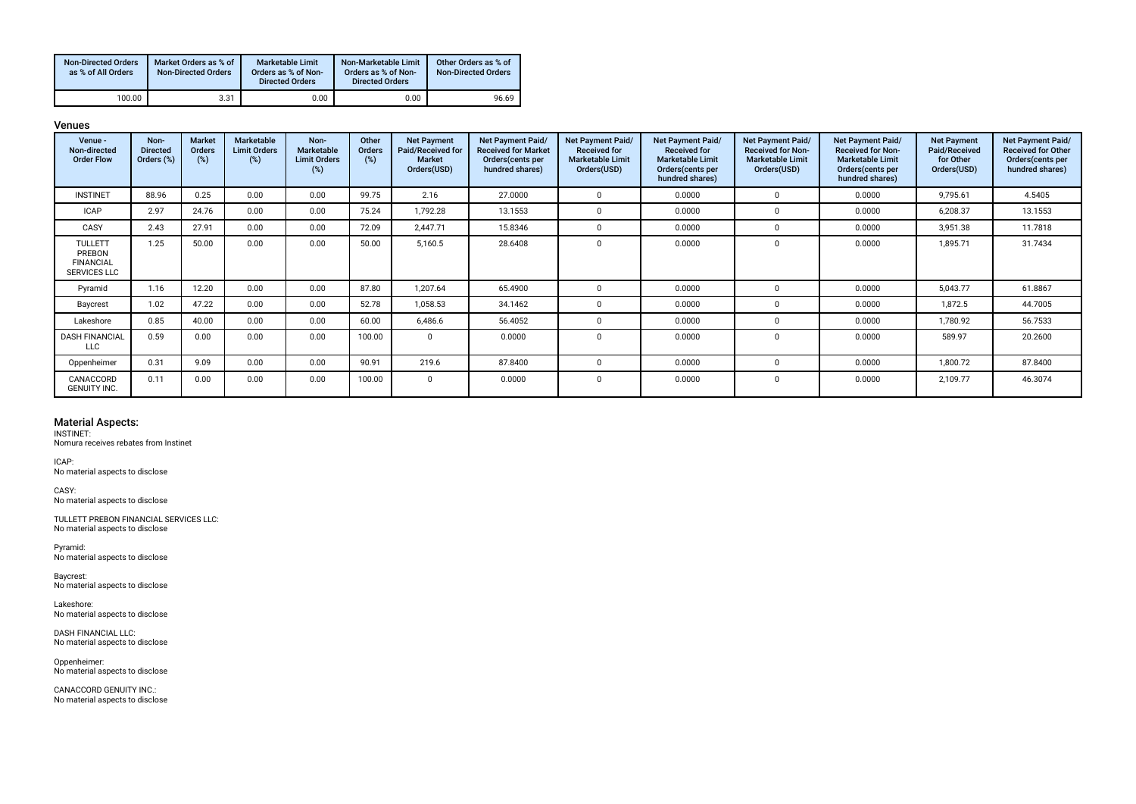| <b>Non-Directed Orders</b><br>as % of All Orders | Market Orders as % of<br><b>Non-Directed Orders</b> | Marketable Limit<br>Orders as % of Non-<br><b>Directed Orders</b> | Non-Marketable Limit<br>Orders as % of Non-<br><b>Directed Orders</b> | Other Orders as % of<br><b>Non-Directed Orders</b> |
|--------------------------------------------------|-----------------------------------------------------|-------------------------------------------------------------------|-----------------------------------------------------------------------|----------------------------------------------------|
| 100.00                                           | 3.31                                                | 0.00                                                              | 0.00                                                                  | 96.69                                              |

Venues

| Venue -<br>Non-directed<br><b>Order Flow</b>                        | Non-<br><b>Directed</b><br>Orders (%) | <b>Market</b><br>Orders<br>(%) | Marketable<br><b>Limit Orders</b><br>(%) | Non-<br>Marketable<br><b>Limit Orders</b><br>(%) | Other<br><b>Orders</b><br>(%) | <b>Net Payment</b><br>Paid/Received for<br><b>Market</b><br>Orders(USD) | Net Payment Paid/<br><b>Received for Market</b><br>Orders (cents per<br>hundred shares) | Net Payment Paid/<br><b>Received for</b><br><b>Marketable Limit</b><br>Orders(USD) | Net Payment Paid/<br><b>Received for</b><br><b>Marketable Limit</b><br>Orders(cents per<br>hundred shares) | Net Payment Paid/<br><b>Received for Non-</b><br><b>Marketable Limit</b><br>Orders(USD) | <b>Net Payment Paid/</b><br><b>Received for Non-</b><br><b>Marketable Limit</b><br>Orders (cents per<br>hundred shares) | <b>Net Payment</b><br>Paid/Received<br>for Other<br>Orders(USD) | Net Payment Paid/<br><b>Received for Other</b><br>Orders(cents per<br>hundred shares) |
|---------------------------------------------------------------------|---------------------------------------|--------------------------------|------------------------------------------|--------------------------------------------------|-------------------------------|-------------------------------------------------------------------------|-----------------------------------------------------------------------------------------|------------------------------------------------------------------------------------|------------------------------------------------------------------------------------------------------------|-----------------------------------------------------------------------------------------|-------------------------------------------------------------------------------------------------------------------------|-----------------------------------------------------------------|---------------------------------------------------------------------------------------|
| <b>INSTINET</b>                                                     | 88.96                                 | 0.25                           | 0.00                                     | 0.00                                             | 99.75                         | 2.16                                                                    | 27.0000                                                                                 | $\Omega$                                                                           | 0.0000                                                                                                     | $\Omega$                                                                                | 0.0000                                                                                                                  | 9,795.61                                                        | 4.5405                                                                                |
| <b>ICAP</b>                                                         | 2.97                                  | 24.76                          | 0.00                                     | 0.00                                             | 75.24                         | 1,792.28                                                                | 13.1553                                                                                 | $\Omega$                                                                           | 0.0000                                                                                                     | $\Omega$                                                                                | 0.0000                                                                                                                  | 6,208.37                                                        | 13.1553                                                                               |
| CASY                                                                | 2.43                                  | 27.91                          | 0.00                                     | 0.00                                             | 72.09                         | 2,447.71                                                                | 15.8346                                                                                 | - 0                                                                                | 0.0000                                                                                                     | $\Omega$                                                                                | 0.0000                                                                                                                  | 3,951.38                                                        | 11.7818                                                                               |
| <b>TULLETT</b><br>PREBON<br><b>FINANCIAL</b><br><b>SERVICES LLC</b> | 1.25                                  | 50.00                          | 0.00                                     | 0.00                                             | 50.00                         | 5,160.5                                                                 | 28.6408                                                                                 | $\Omega$                                                                           | 0.0000                                                                                                     | $\mathbf 0$                                                                             | 0.0000                                                                                                                  | 1,895.71                                                        | 31.7434                                                                               |
| Pyramid                                                             | 1.16                                  | 12.20                          | 0.00                                     | 0.00                                             | 87.80                         | 1,207.64                                                                | 65.4900                                                                                 | - 0                                                                                | 0.0000                                                                                                     | $\Omega$                                                                                | 0.0000                                                                                                                  | 5,043.77                                                        | 61.8867                                                                               |
| Baycrest                                                            | 1.02                                  | 47.22                          | 0.00                                     | 0.00                                             | 52.78                         | 1,058.53                                                                | 34.1462                                                                                 | $\Omega$                                                                           | 0.0000                                                                                                     | $\Omega$                                                                                | 0.0000                                                                                                                  | 1,872.5                                                         | 44.7005                                                                               |
| Lakeshore                                                           | 0.85                                  | 40.00                          | 0.00                                     | 0.00                                             | 60.00                         | 6,486.6                                                                 | 56.4052                                                                                 | - 0                                                                                | 0.0000                                                                                                     | $\Omega$                                                                                | 0.0000                                                                                                                  | 1,780.92                                                        | 56.7533                                                                               |
| <b>DASH FINANCIAL</b><br>LLC                                        | 0.59                                  | 0.00                           | 0.00                                     | 0.00                                             | 100.00                        | $\Omega$                                                                | 0.0000                                                                                  | $\Omega$                                                                           | 0.0000                                                                                                     | $\Omega$                                                                                | 0.0000                                                                                                                  | 589.97                                                          | 20.2600                                                                               |
| Oppenheimer                                                         | 0.31                                  | 9.09                           | 0.00                                     | 0.00                                             | 90.91                         | 219.6                                                                   | 87.8400                                                                                 | $\Omega$                                                                           | 0.0000                                                                                                     | $\Omega$                                                                                | 0.0000                                                                                                                  | 1,800.72                                                        | 87.8400                                                                               |
| CANACCORD<br><b>GENUITY INC.</b>                                    | 0.11                                  | 0.00                           | 0.00                                     | 0.00                                             | 100.00                        | 0                                                                       | 0.0000                                                                                  | $\mathbf{0}$                                                                       | 0.0000                                                                                                     | 0                                                                                       | 0.0000                                                                                                                  | 2,109.77                                                        | 46.3074                                                                               |

### Material Aspects:

INSTINET: Nomura receives rebates from Instinet

ICAP: No material aspects to disclose

CASY: No material aspects to disclose

TULLETT PREBON FINANCIAL SERVICES LLC: No material aspects to disclose

Pyramid: No material aspects to disclose

Baycrest: No material aspects to disclose

Lakeshore: No material aspects to disclose

DASH FINANCIAL LLC: No material aspects to disclose

Oppenheimer: No material aspects to disclose

CANACCORD GENUITY INC.: No material aspects to disclose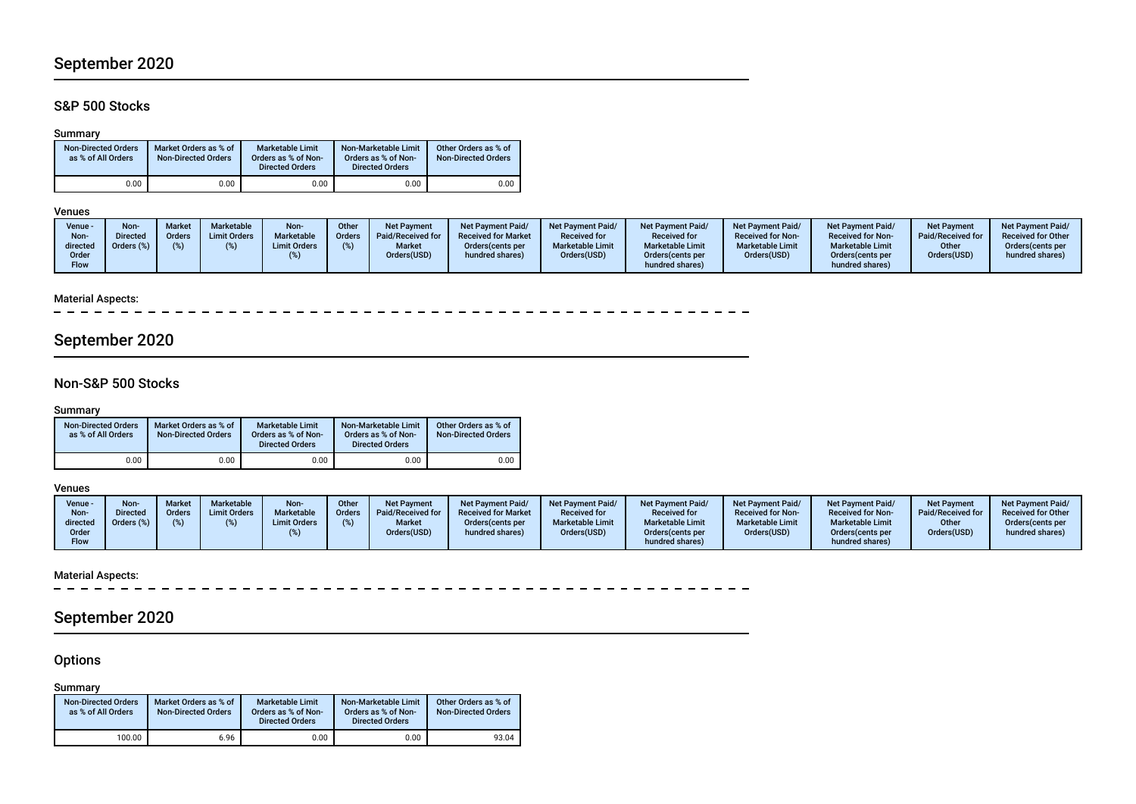# September 2020

# S&P 500 Stocks

## Summary

| <b>Non-Directed Orders</b><br>as % of All Orders | Market Orders as % of<br><b>Non-Directed Orders</b> | Marketable Limit<br>Orders as % of Non-<br><b>Directed Orders</b> | Non-Marketable Limit<br>Orders as % of Non-<br><b>Directed Orders</b> | Other Orders as % of<br><b>Non-Directed Orders</b> |
|--------------------------------------------------|-----------------------------------------------------|-------------------------------------------------------------------|-----------------------------------------------------------------------|----------------------------------------------------|
| 0.00                                             | 0.00                                                | 0.00                                                              | 0.00                                                                  | 0.00                                               |

## Venues

| Non-<br>Other<br>Marketable<br><b>Market</b><br>Venue -<br><b>Net Payment</b><br><b>Net Payment Paid/</b><br><b>Net Payment Paid/</b><br><b>Non</b><br>Marketable<br><b>Limit Orders</b><br><b>Received for Market</b><br>Paid/Received for<br><b>Directed</b><br>Orders<br><b>Received for</b><br>Order:<br>Non-<br><b>Marketable Limit</b><br>Orders (%)<br><b>Market</b><br><b>Limit Orders</b><br>directed<br>Orders (cents per<br>Orders(USD)<br>Orders(USD)<br>hundred shares)<br>Order<br><b>Flow</b> | <b>Net Payment Paid/</b><br><b>Net Payment Paid/</b><br><b>Received for</b><br><b>Received for Non-</b><br><b>Marketable Limit</b><br><b>Marketable Limit</b><br>Orders(USD)<br>Orders (cents per<br>hundred shares) | <b>Net Payment Paid/</b><br><b>Net Payment</b><br>Paid/Received for<br><b>Received for Non-</b><br><b>Marketable Limit</b><br>Other<br>Orders(USD)<br>Orders (cents per<br>hundred shares) | <b>Net Payment Paid/</b><br><b>Received for Other</b><br>Orders(cents per<br>hundred shares) |
|--------------------------------------------------------------------------------------------------------------------------------------------------------------------------------------------------------------------------------------------------------------------------------------------------------------------------------------------------------------------------------------------------------------------------------------------------------------------------------------------------------------|----------------------------------------------------------------------------------------------------------------------------------------------------------------------------------------------------------------------|--------------------------------------------------------------------------------------------------------------------------------------------------------------------------------------------|----------------------------------------------------------------------------------------------|
|--------------------------------------------------------------------------------------------------------------------------------------------------------------------------------------------------------------------------------------------------------------------------------------------------------------------------------------------------------------------------------------------------------------------------------------------------------------------------------------------------------------|----------------------------------------------------------------------------------------------------------------------------------------------------------------------------------------------------------------------|--------------------------------------------------------------------------------------------------------------------------------------------------------------------------------------------|----------------------------------------------------------------------------------------------|

## Material Aspects:

\_ \_ \_ \_ \_ \_ \_ \_ \_ \_ \_ \_ \_ \_ \_  $\overline{\phantom{0}}$ 

# September 2020

# Non-S&P 500 Stocks

# Summary

| <b>Non-Directed Orders</b><br>as % of All Orders | Market Orders as % of<br><b>Non-Directed Orders</b> | Marketable Limit<br>Orders as % of Non-<br><b>Directed Orders</b> | Non-Marketable Limit<br>Orders as % of Non-<br><b>Directed Orders</b> | Other Orders as % of<br><b>Non-Directed Orders</b> |
|--------------------------------------------------|-----------------------------------------------------|-------------------------------------------------------------------|-----------------------------------------------------------------------|----------------------------------------------------|
| 0.00                                             | 0.00                                                | 0.00                                                              | 0.00                                                                  | 0.00                                               |

## Venues

| Venue -<br>Non-<br>directed | <b>Non-</b><br><b>Directed</b><br>Orders (%) | Market<br>Orders | <b>Marketable</b><br><b>Limit Orders</b> | Non-<br>Marketable<br><b>Limit Orders</b> | Other<br><b>Orders</b> | <b>Net Payment</b><br>Paid/Received for<br><b>Market</b> | <b>Net Payment Paid/</b><br><b>Received for Market</b><br>Orders (cents per | Net Payment Paid/<br><b>Received for</b><br><b>Marketable Limit</b> | <b>Net Payment Paid/</b><br><b>Received for</b><br><b>Marketable Limit</b> | <b>Net Payment Paid/</b><br><b>Received for Non-</b><br><b>Marketable Limit</b> | <b>Net Payment Paid/</b><br><b>Received for Non-</b><br><b>Marketable Limit</b> | <b>Net Payment</b><br>Paid/Received for<br>Other | <b>Net Payment Paid/</b><br><b>Received for Other</b><br>Orders(cents per |
|-----------------------------|----------------------------------------------|------------------|------------------------------------------|-------------------------------------------|------------------------|----------------------------------------------------------|-----------------------------------------------------------------------------|---------------------------------------------------------------------|----------------------------------------------------------------------------|---------------------------------------------------------------------------------|---------------------------------------------------------------------------------|--------------------------------------------------|---------------------------------------------------------------------------|
| Order<br><b>Flow</b>        |                                              |                  |                                          |                                           |                        | Orders(USD)                                              | hundred shares)                                                             | Orders(USD)                                                         | Orders (cents per<br>hundred shares)                                       | Orders(USD)                                                                     | Orders(cents per<br>hundred shares)                                             | Orders(USD)                                      | hundred shares)                                                           |

#### Material Aspects:

 $\sim$ \_ \_ \_ \_ \_ \_ \_ \_ \_ \_ \_

# September 2020

# **Options**

Summary

| <b>Non-Directed Orders</b><br>as % of All Orders | Market Orders as % of<br><b>Non-Directed Orders</b> | <b>Marketable Limit</b><br>Orders as % of Non-<br><b>Directed Orders</b> | Non-Marketable Limit<br>Orders as % of Non-<br><b>Directed Orders</b> | Other Orders as % of<br><b>Non-Directed Orders</b> |
|--------------------------------------------------|-----------------------------------------------------|--------------------------------------------------------------------------|-----------------------------------------------------------------------|----------------------------------------------------|
| 100.00                                           | 6.96                                                | 0.00                                                                     | 0.00                                                                  | 93.04                                              |